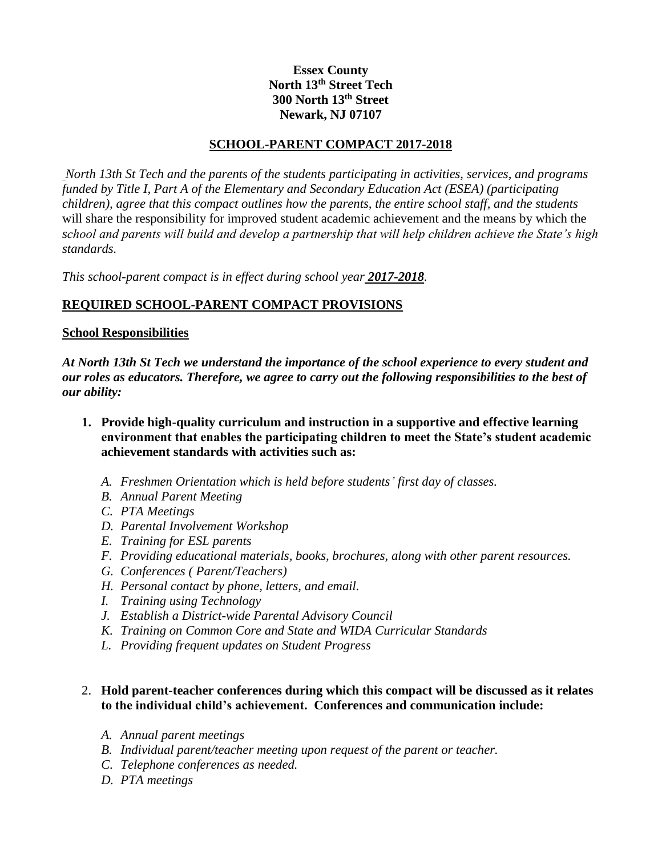## **Essex County North 13th Street Tech 300 North 13th Street Newark, NJ 07107**

### **SCHOOL-PARENT COMPACT 2017-2018**

*North 13th St Tech and the parents of the students participating in activities, services, and programs funded by Title I, Part A of the Elementary and Secondary Education Act (ESEA) (participating children), agree that this compact outlines how the parents, the entire school staff, and the students*  will share the responsibility for improved student academic achievement and the means by which the *school and parents will build and develop a partnership that will help children achieve the State's high standards.*

*This school-parent compact is in effect during school year 2017-2018.*

## **REQUIRED SCHOOL-PARENT COMPACT PROVISIONS**

#### **School Responsibilities**

*At North 13th St Tech we understand the importance of the school experience to every student and our roles as educators. Therefore, we agree to carry out the following responsibilities to the best of our ability:*

- **1. Provide high-quality curriculum and instruction in a supportive and effective learning environment that enables the participating children to meet the State's student academic achievement standards with activities such as:**
	- *A. Freshmen Orientation which is held before students' first day of classes.*
	- *B. Annual Parent Meeting*
	- *C. PTA Meetings*
	- *D. Parental Involvement Workshop*
	- *E. Training for ESL parents*
	- *F. Providing educational materials, books, brochures, along with other parent resources.*
	- *G. Conferences ( Parent/Teachers)*
	- *H. Personal contact by phone, letters, and email.*
	- *I. Training using Technology*
	- *J. Establish a District-wide Parental Advisory Council*
	- *K. Training on Common Core and State and WIDA Curricular Standards*
	- *L. Providing frequent updates on Student Progress*

## 2. **Hold parent-teacher conferences during which this compact will be discussed as it relates to the individual child's achievement. Conferences and communication include:**

- *A. Annual parent meetings*
- *B. Individual parent/teacher meeting upon request of the parent or teacher.*
- *C. Telephone conferences as needed.*
- *D. PTA meetings*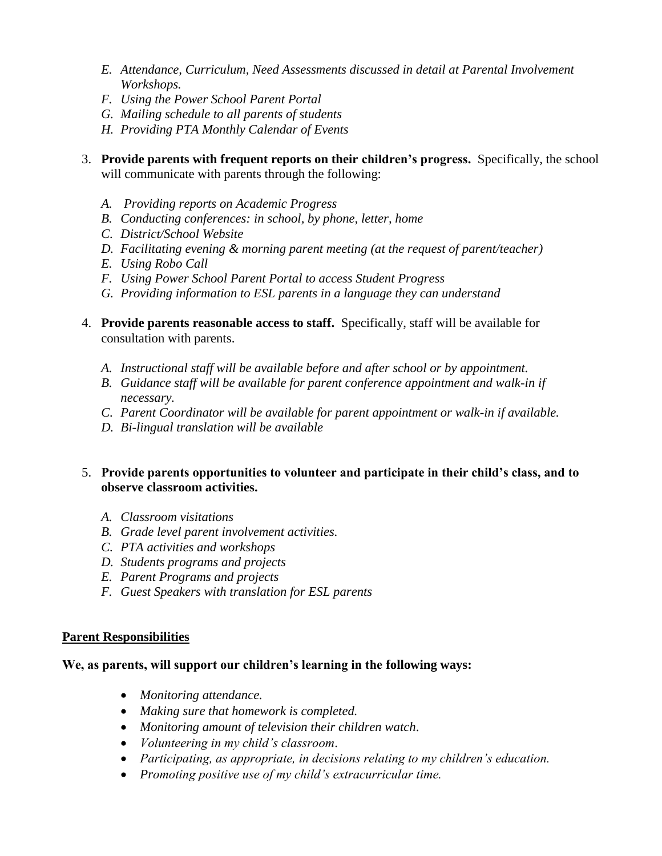- *E. Attendance, Curriculum, Need Assessments discussed in detail at Parental Involvement Workshops.*
- *F. Using the Power School Parent Portal*
- *G. Mailing schedule to all parents of students*
- *H. Providing PTA Monthly Calendar of Events*
- 3. **Provide parents with frequent reports on their children's progress.** Specifically, the school will communicate with parents through the following:
	- *A. Providing reports on Academic Progress*
	- *B. Conducting conferences: in school, by phone, letter, home*
	- *C. District/School Website*
	- *D. Facilitating evening & morning parent meeting (at the request of parent/teacher)*
	- *E. Using Robo Call*
	- *F. Using Power School Parent Portal to access Student Progress*
	- *G. Providing information to ESL parents in a language they can understand*
- 4. **Provide parents reasonable access to staff.** Specifically, staff will be available for consultation with parents.
	- *A. Instructional staff will be available before and after school or by appointment.*
	- *B. Guidance staff will be available for parent conference appointment and walk-in if necessary.*
	- *C. Parent Coordinator will be available for parent appointment or walk-in if available.*
	- *D. Bi-lingual translation will be available*

## 5. **Provide parents opportunities to volunteer and participate in their child's class, and to observe classroom activities.**

- *A. Classroom visitations*
- *B. Grade level parent involvement activities.*
- *C. PTA activities and workshops*
- *D. Students programs and projects*
- *E. Parent Programs and projects*
- *F. Guest Speakers with translation for ESL parents*

#### **Parent Responsibilities**

#### **We, as parents, will support our children's learning in the following ways:**

- *Monitoring attendance.*
- *Making sure that homework is completed.*
- *Monitoring amount of television their children watch*.
- *Volunteering in my child's classroom*.
- *Participating, as appropriate, in decisions relating to my children's education.*
- *Promoting positive use of my child's extracurricular time.*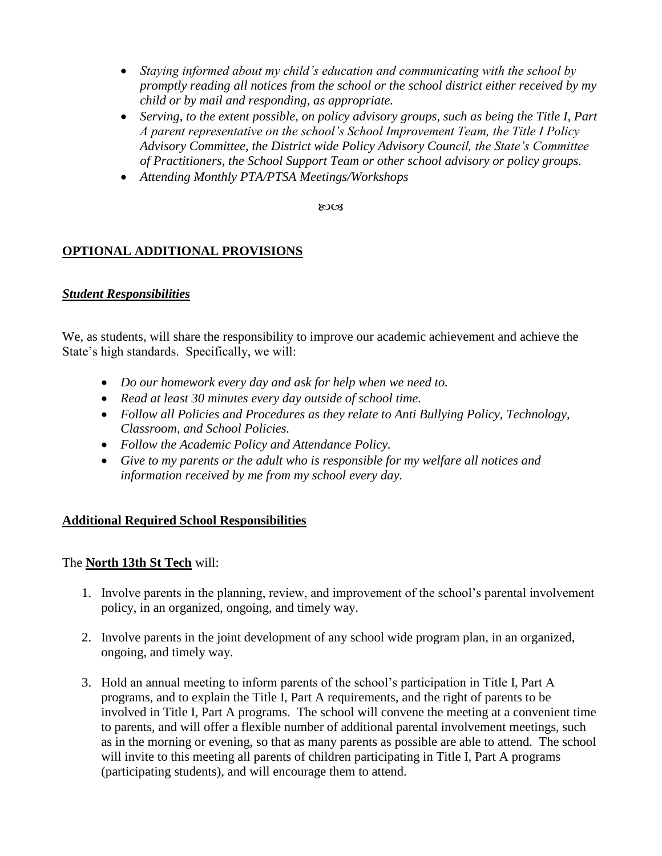- *Staying informed about my child's education and communicating with the school by promptly reading all notices from the school or the school district either received by my child or by mail and responding, as appropriate.*
- *Serving, to the extent possible, on policy advisory groups, such as being the Title I, Part A parent representative on the school's School Improvement Team, the Title I Policy Advisory Committee, the District wide Policy Advisory Council, the State's Committee of Practitioners, the School Support Team or other school advisory or policy groups.*
- *Attending Monthly PTA/PTSA Meetings/Workshops*

**ROCS** 

## **OPTIONAL ADDITIONAL PROVISIONS**

### *Student Responsibilities*

We, as students, will share the responsibility to improve our academic achievement and achieve the State's high standards. Specifically, we will:

- *Do our homework every day and ask for help when we need to.*
- *Read at least 30 minutes every day outside of school time.*
- *Follow all Policies and Procedures as they relate to Anti Bullying Policy, Technology, Classroom, and School Policies.*
- *Follow the Academic Policy and Attendance Policy.*
- *Give to my parents or the adult who is responsible for my welfare all notices and information received by me from my school every day.*

## **Additional Required School Responsibilities**

## The **North 13th St Tech** will:

- 1. Involve parents in the planning, review, and improvement of the school's parental involvement policy, in an organized, ongoing, and timely way.
- 2. Involve parents in the joint development of any school wide program plan, in an organized, ongoing, and timely way.
- 3. Hold an annual meeting to inform parents of the school's participation in Title I, Part A programs, and to explain the Title I, Part A requirements, and the right of parents to be involved in Title I, Part A programs. The school will convene the meeting at a convenient time to parents, and will offer a flexible number of additional parental involvement meetings, such as in the morning or evening, so that as many parents as possible are able to attend. The school will invite to this meeting all parents of children participating in Title I, Part A programs (participating students), and will encourage them to attend.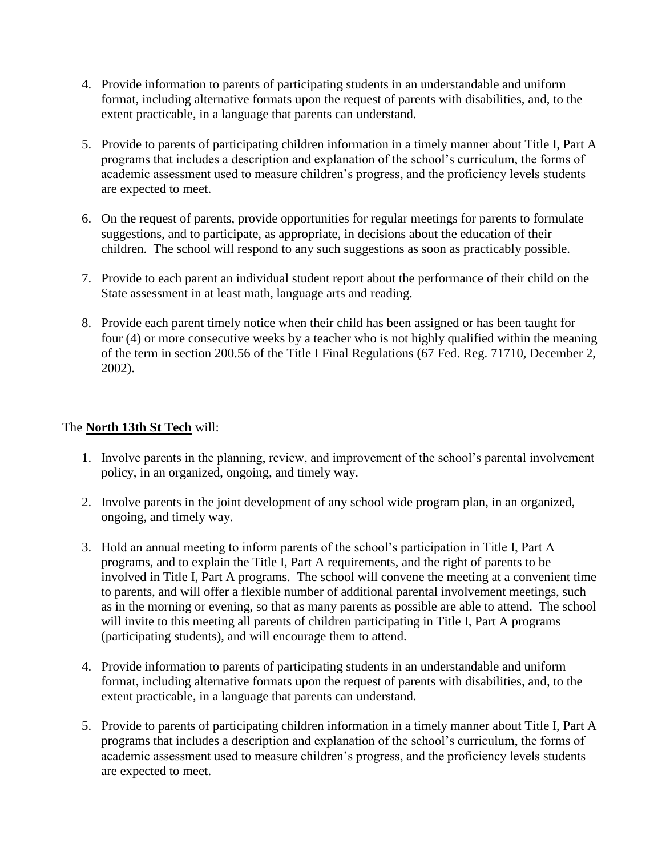- 4. Provide information to parents of participating students in an understandable and uniform format, including alternative formats upon the request of parents with disabilities, and, to the extent practicable, in a language that parents can understand.
- 5. Provide to parents of participating children information in a timely manner about Title I, Part A programs that includes a description and explanation of the school's curriculum, the forms of academic assessment used to measure children's progress, and the proficiency levels students are expected to meet.
- 6. On the request of parents, provide opportunities for regular meetings for parents to formulate suggestions, and to participate, as appropriate, in decisions about the education of their children. The school will respond to any such suggestions as soon as practicably possible.
- 7. Provide to each parent an individual student report about the performance of their child on the State assessment in at least math, language arts and reading.
- 8. Provide each parent timely notice when their child has been assigned or has been taught for four (4) or more consecutive weeks by a teacher who is not highly qualified within the meaning of the term in section 200.56 of the Title I Final Regulations (67 Fed. Reg. 71710, December 2, 2002).

# The **North 13th St Tech** will:

- 1. Involve parents in the planning, review, and improvement of the school's parental involvement policy, in an organized, ongoing, and timely way.
- 2. Involve parents in the joint development of any school wide program plan, in an organized, ongoing, and timely way.
- 3. Hold an annual meeting to inform parents of the school's participation in Title I, Part A programs, and to explain the Title I, Part A requirements, and the right of parents to be involved in Title I, Part A programs. The school will convene the meeting at a convenient time to parents, and will offer a flexible number of additional parental involvement meetings, such as in the morning or evening, so that as many parents as possible are able to attend. The school will invite to this meeting all parents of children participating in Title I, Part A programs (participating students), and will encourage them to attend.
- 4. Provide information to parents of participating students in an understandable and uniform format, including alternative formats upon the request of parents with disabilities, and, to the extent practicable, in a language that parents can understand.
- 5. Provide to parents of participating children information in a timely manner about Title I, Part A programs that includes a description and explanation of the school's curriculum, the forms of academic assessment used to measure children's progress, and the proficiency levels students are expected to meet.